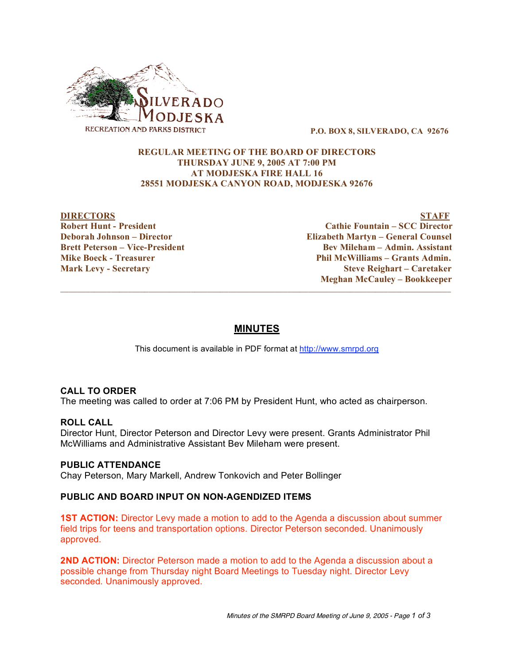

**P.O. BOX 8, SILVERADO, CA 92676**

# **REGULAR MEETING OF THE BOARD OF DIRECTORS THURSDAY JUNE 9, 2005 AT 7:00 PM AT MODJESKA FIRE HALL 16 28551 MODJESKA CANYON ROAD, MODJESKA 92676**

**DIRECTORS STAFF Robert Hunt - President Cathie Fountain – SCC Director Deborah Johnson – Director Elizabeth Martyn – General Counsel Brett Peterson – Vice-President Bev Mileham – Admin. Assistant Mike Boeck - Treasurer Phil McWilliams – Grants Admin. Mark Levy - Secretary Steve Reighart – Caretaker Meghan McCauley – Bookkeeper**

# **MINUTES**

 $\overline{\phantom{a}}$  ,  $\overline{\phantom{a}}$  ,  $\overline{\phantom{a}}$  ,  $\overline{\phantom{a}}$  ,  $\overline{\phantom{a}}$  ,  $\overline{\phantom{a}}$  ,  $\overline{\phantom{a}}$  ,  $\overline{\phantom{a}}$  ,  $\overline{\phantom{a}}$  ,  $\overline{\phantom{a}}$  ,  $\overline{\phantom{a}}$  ,  $\overline{\phantom{a}}$  ,  $\overline{\phantom{a}}$  ,  $\overline{\phantom{a}}$  ,  $\overline{\phantom{a}}$  ,  $\overline{\phantom{a}}$ 

This document is available in PDF format at http://www.smrpd.org

### **CALL TO ORDER**

The meeting was called to order at 7:06 PM by President Hunt, who acted as chairperson.

### **ROLL CALL**

Director Hunt, Director Peterson and Director Levy were present. Grants Administrator Phil McWilliams and Administrative Assistant Bev Mileham were present.

### **PUBLIC ATTENDANCE**

Chay Peterson, Mary Markell, Andrew Tonkovich and Peter Bollinger

### **PUBLIC AND BOARD INPUT ON NON-AGENDIZED ITEMS**

**1ST ACTION:** Director Levy made a motion to add to the Agenda a discussion about summer field trips for teens and transportation options. Director Peterson seconded. Unanimously approved.

**2ND ACTION:** Director Peterson made a motion to add to the Agenda a discussion about a possible change from Thursday night Board Meetings to Tuesday night. Director Levy seconded. Unanimously approved.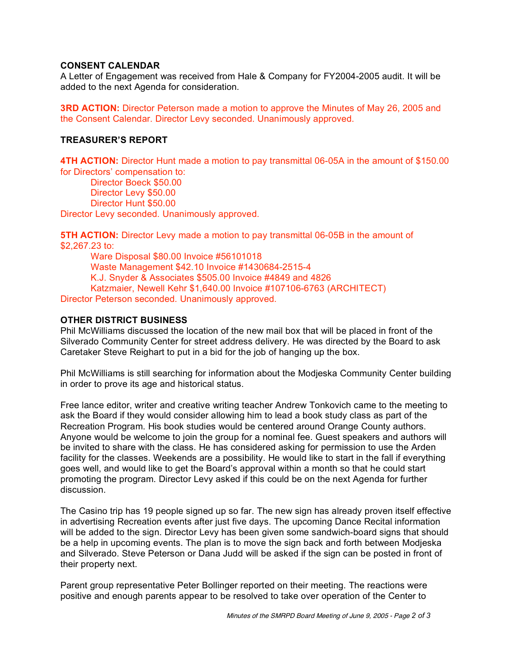### **CONSENT CALENDAR**

A Letter of Engagement was received from Hale & Company for FY2004-2005 audit. It will be added to the next Agenda for consideration.

**3RD ACTION:** Director Peterson made a motion to approve the Minutes of May 26, 2005 and the Consent Calendar. Director Levy seconded. Unanimously approved.

# **TREASURER'S REPORT**

**4TH ACTION:** Director Hunt made a motion to pay transmittal 06-05A in the amount of \$150.00 for Directors' compensation to:

Director Boeck \$50.00 Director Levy \$50.00 Director Hunt \$50.00

Director Levy seconded. Unanimously approved.

**5TH ACTION:** Director Levy made a motion to pay transmittal 06-05B in the amount of \$2,267.23 to:

Ware Disposal \$80.00 Invoice #56101018 Waste Management \$42.10 Invoice #1430684-2515-4 K.J. Snyder & Associates \$505.00 Invoice #4849 and 4826 Katzmaier, Newell Kehr \$1,640.00 Invoice #107106-6763 (ARCHITECT) Director Peterson seconded. Unanimously approved.

### **OTHER DISTRICT BUSINESS**

Phil McWilliams discussed the location of the new mail box that will be placed in front of the Silverado Community Center for street address delivery. He was directed by the Board to ask Caretaker Steve Reighart to put in a bid for the job of hanging up the box.

Phil McWilliams is still searching for information about the Modjeska Community Center building in order to prove its age and historical status.

Free lance editor, writer and creative writing teacher Andrew Tonkovich came to the meeting to ask the Board if they would consider allowing him to lead a book study class as part of the Recreation Program. His book studies would be centered around Orange County authors. Anyone would be welcome to join the group for a nominal fee. Guest speakers and authors will be invited to share with the class. He has considered asking for permission to use the Arden facility for the classes. Weekends are a possibility. He would like to start in the fall if everything goes well, and would like to get the Board's approval within a month so that he could start promoting the program. Director Levy asked if this could be on the next Agenda for further discussion.

The Casino trip has 19 people signed up so far. The new sign has already proven itself effective in advertising Recreation events after just five days. The upcoming Dance Recital information will be added to the sign. Director Levy has been given some sandwich-board signs that should be a help in upcoming events. The plan is to move the sign back and forth between Modjeska and Silverado. Steve Peterson or Dana Judd will be asked if the sign can be posted in front of their property next.

Parent group representative Peter Bollinger reported on their meeting. The reactions were positive and enough parents appear to be resolved to take over operation of the Center to